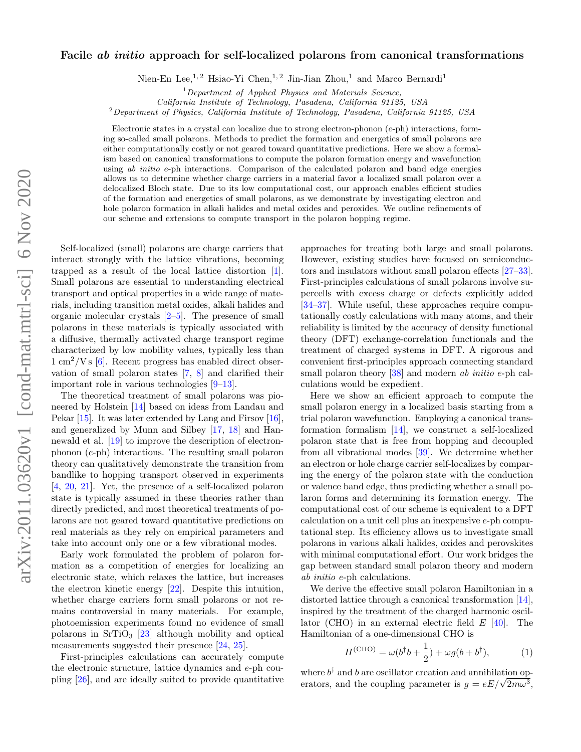## $arXiv:2011.03620v1$  [cond-mat.mtrl-sci] 6 Nov 2020 arXiv:2011.03620v1 [cond-mat.mtrl-sci] 6 Nov 2020

## Facile ab initio approach for self-localized polarons from canonical transformations

Nien-En Lee,<sup>1, 2</sup> Hsiao-Yi Chen,<sup>1, 2</sup> Jin-Jian Zhou,<sup>1</sup> and Marco Bernardi<sup>1</sup>

 $1$ Department of Applied Physics and Materials Science,

California Institute of Technology, Pasadena, California 91125, USA

<sup>2</sup>Department of Physics, California Institute of Technology, Pasadena, California 91125, USA

Electronic states in a crystal can localize due to strong electron-phonon (e-ph) interactions, forming so-called small polarons. Methods to predict the formation and energetics of small polarons are either computationally costly or not geared toward quantitative predictions. Here we show a formalism based on canonical transformations to compute the polaron formation energy and wavefunction using ab initio e-ph interactions. Comparison of the calculated polaron and band edge energies allows us to determine whether charge carriers in a material favor a localized small polaron over a delocalized Bloch state. Due to its low computational cost, our approach enables efficient studies of the formation and energetics of small polarons, as we demonstrate by investigating electron and hole polaron formation in alkali halides and metal oxides and peroxides. We outline refinements of our scheme and extensions to compute transport in the polaron hopping regime.

Self-localized (small) polarons are charge carriers that interact strongly with the lattice vibrations, becoming trapped as a result of the local lattice distortion [\[1\]](#page-4-0). Small polarons are essential to understanding electrical transport and optical properties in a wide range of materials, including transition metal oxides, alkali halides and organic molecular crystals [\[2–](#page-4-1)[5\]](#page-4-2). The presence of small polarons in these materials is typically associated with a diffusive, thermally activated charge transport regime characterized by low mobility values, typically less than  $1 \text{ cm}^2/\text{V s}$  [\[6\]](#page-4-3). Recent progress has enabled direct observation of small polaron states [\[7,](#page-4-4) [8\]](#page-4-5) and clarified their important role in various technologies [\[9–](#page-4-6)[13\]](#page-4-7).

The theoretical treatment of small polarons was pioneered by Holstein [\[14\]](#page-4-8) based on ideas from Landau and Pekar [\[15\]](#page-4-9). It was later extended by Lang and Firsov [\[16\]](#page-4-10), and generalized by Munn and Silbey [\[17,](#page-4-11) [18\]](#page-4-12) and Hannewald et al. [\[19\]](#page-4-13) to improve the description of electronphonon (e-ph) interactions. The resulting small polaron theory can qualitatively demonstrate the transition from bandlike to hopping transport observed in experiments [\[4,](#page-4-14) [20,](#page-4-15) [21\]](#page-4-16). Yet, the presence of a self-localized polaron state is typically assumed in these theories rather than directly predicted, and most theoretical treatments of polarons are not geared toward quantitative predictions on real materials as they rely on empirical parameters and take into account only one or a few vibrational modes.

Early work formulated the problem of polaron formation as a competition of energies for localizing an electronic state, which relaxes the lattice, but increases the electron kinetic energy [\[22\]](#page-4-17). Despite this intuition, whether charge carriers form small polarons or not remains controversial in many materials. For example, photoemission experiments found no evidence of small polarons in  $SrTiO<sub>3</sub>$  [\[23\]](#page-4-18) although mobility and optical measurements suggested their presence [\[24,](#page-4-19) [25\]](#page-4-20).

First-principles calculations can accurately compute the electronic structure, lattice dynamics and e-ph coupling [\[26\]](#page-4-21), and are ideally suited to provide quantitative approaches for treating both large and small polarons. However, existing studies have focused on semiconductors and insulators without small polaron effects [\[27–](#page-4-22)[33\]](#page-5-0). First-principles calculations of small polarons involve supercells with excess charge or defects explicitly added [\[34–](#page-5-1)[37\]](#page-5-2). While useful, these approaches require computationally costly calculations with many atoms, and their reliability is limited by the accuracy of density functional theory (DFT) exchange-correlation functionals and the treatment of charged systems in DFT. A rigorous and convenient first-principles approach connecting standard small polaron theory [\[38\]](#page-5-3) and modern ab *initio* e-ph calculations would be expedient.

Here we show an efficient approach to compute the small polaron energy in a localized basis starting from a trial polaron wavefunction. Employing a canonical transformation formalism [\[14\]](#page-4-8), we construct a self-localized polaron state that is free from hopping and decoupled from all vibrational modes [\[39\]](#page-5-4). We determine whether an electron or hole charge carrier self-localizes by comparing the energy of the polaron state with the conduction or valence band edge, thus predicting whether a small polaron forms and determining its formation energy. The computational cost of our scheme is equivalent to a DFT calculation on a unit cell plus an inexpensive e-ph computational step. Its efficiency allows us to investigate small polarons in various alkali halides, oxides and perovskites with minimal computational effort. Our work bridges the gap between standard small polaron theory and modern ab initio e-ph calculations.

We derive the effective small polaron Hamiltonian in a distorted lattice through a canonical transformation [\[14\]](#page-4-8), inspired by the treatment of the charged harmonic oscillator (CHO) in an external electric field  $E$  [\[40\]](#page-5-5). The Hamiltonian of a one-dimensional CHO is

$$
H^{(\text{CHO})} = \omega(b^{\dagger}b + \frac{1}{2}) + \omega g(b + b^{\dagger}), \tag{1}
$$

where  $b^{\dagger}$  and b are oscillator creation and annihilation opwhere  $b^{\dagger}$  and b are oscillator creation and annihilation operators, and the coupling parameter is  $g = eE/\sqrt{2m\omega^3}$ ,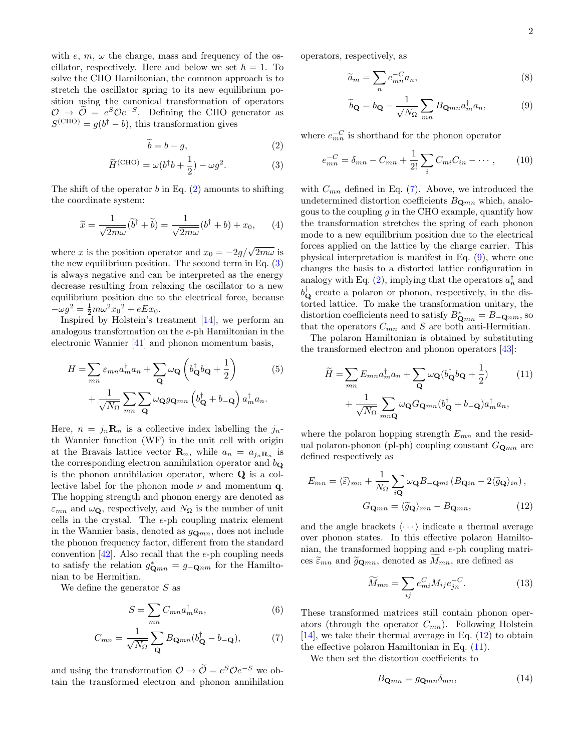with  $e, m, \omega$  the charge, mass and frequency of the oscillator, respectively. Here and below we set  $\hbar = 1$ . To solve the CHO Hamiltonian, the common approach is to stretch the oscillator spring to its new equilibrium position using the canonical transformation of operators  $\mathcal{O} \rightarrow \tilde{\mathcal{O}} = e^S \mathcal{O} e^{-S}$ . Defining the CHO generator as  $S^{(\text{CHO})} = g(b^{\dagger} - b)$ , this transformation gives

$$
\widetilde{b} = b - g,\tag{2}
$$

$$
\widetilde{H}^{\text{(CHO)}} = \omega (b^{\dagger} b + \frac{1}{2}) - \omega g^2.
$$
 (3)

The shift of the operator  $b$  in Eq.  $(2)$  amounts to shifting the coordinate system:

$$
\widetilde{x} = \frac{1}{\sqrt{2m\omega}} (\widetilde{b}^{\dagger} + \widetilde{b}) = \frac{1}{\sqrt{2m\omega}} (b^{\dagger} + b) + x_0, \qquad (4)
$$

where x is the position operator and  $x_0 = -2g/\sqrt{2m\omega}$  is the new equilibrium position. The second term in Eq.  $(3)$ is always negative and can be interpreted as the energy decrease resulting from relaxing the oscillator to a new equilibrium position due to the electrical force, because  $-\omega g^2 = \frac{1}{2}m\omega^2 x_0^2 + eEx_0.$ 

Inspired by Holstein's treatment [\[14\]](#page-4-8), we perform an analogous transformation on the e-ph Hamiltonian in the electronic Wannier [\[41\]](#page-5-6) and phonon momentum basis,

$$
H = \sum_{mn} \varepsilon_{mn} a_m^{\dagger} a_n + \sum_{\mathbf{Q}} \omega_{\mathbf{Q}} \left( b_{\mathbf{Q}}^{\dagger} b_{\mathbf{Q}} + \frac{1}{2} \right)
$$
(5)  
+ 
$$
\frac{1}{\sqrt{N_{\Omega}}} \sum_{mn} \sum_{\mathbf{Q}} \omega_{\mathbf{Q}} g_{\mathbf{Q}mn} \left( b_{\mathbf{Q}}^{\dagger} + b_{-\mathbf{Q}} \right) a_m^{\dagger} a_n.
$$

Here,  $n = j_n \mathbf{R}_n$  is a collective index labelling the  $j_n$ th Wannier function (WF) in the unit cell with origin at the Bravais lattice vector  $\mathbf{R}_n$ , while  $a_n = a_{j_n} \mathbf{R}_n$  is the corresponding electron annihilation operator and  $b_{\mathbf{Q}}$ is the phonon annihilation operator, where Q is a collective label for the phonon mode  $\nu$  and momentum q. The hopping strength and phonon energy are denoted as  $\varepsilon_{mn}$  and  $\omega_{\mathbf{Q}}$ , respectively, and  $N_{\Omega}$  is the number of unit cells in the crystal. The e-ph coupling matrix element in the Wannier basis, denoted as  $g_{\mathbf{Q}mn}$ , does not include the phonon frequency factor, different from the standard convention  $[42]$ . Also recall that the e-ph coupling needs to satisfy the relation  $g_{\mathbf{Q}mn}^* = g_{-\mathbf{Q}nm}$  for the Hamiltonian to be Hermitian.

We define the generator S as

$$
S = \sum_{mn} C_{mn} a_m^{\dagger} a_n,\tag{6}
$$

$$
C_{mn} = \frac{1}{\sqrt{N_{\Omega}}} \sum_{\mathbf{Q}} B_{\mathbf{Q}mn} (b_{\mathbf{Q}}^{\dagger} - b_{-\mathbf{Q}}), \tag{7}
$$

and using the transformation  $\mathcal{O} \to \widetilde{\mathcal{O}} = e^S \mathcal{O} e^{-S}$  we obtain the transformed electron and phonon annihilation operators, respectively, as

$$
\widetilde{a}_m = \sum_n e_{mn}^{-C} a_n,\tag{8}
$$

<span id="page-1-3"></span>
$$
\widetilde{b}_{\mathbf{Q}} = b_{\mathbf{Q}} - \frac{1}{\sqrt{N_{\Omega}}} \sum_{mn} B_{\mathbf{Q}mn} a_m^{\dagger} a_n, \tag{9}
$$

<span id="page-1-1"></span><span id="page-1-0"></span>where  $e_{mn}^{-C}$  is shorthand for the phonon operator

$$
e_{mn}^{-C} = \delta_{mn} - C_{mn} + \frac{1}{2!} \sum_{i} C_{mi} C_{in} - \cdots, \qquad (10)
$$

with  $C_{mn}$  defined in Eq. [\(7\)](#page-1-2). Above, we introduced the undetermined distortion coefficients  $B_{\mathbf{Q}mn}$  which, analogous to the coupling  $g$  in the CHO example, quantify how the transformation stretches the spring of each phonon mode to a new equilibrium position due to the electrical forces applied on the lattice by the charge carrier. This physical interpretation is manifest in Eq. [\(9\)](#page-1-3), where one changes the basis to a distorted lattice configuration in analogy with Eq. [\(2\)](#page-1-0), implying that the operators  $a_n^{\dagger}$  and  $b_{\mathbf{Q}}^{\dagger}$  create a polaron or phonon, respectively, in the distorted lattice. To make the transformation unitary, the distortion coefficients need to satisfy  $B^*_{\mathbf{Q}mn} = B_{-\mathbf{Q}nm}$ , so that the operators  $C_{mn}$  and S are both anti-Hermitian.

The polaron Hamiltonian is obtained by substituting the transformed electron and phonon operators [\[43\]](#page-5-8):

<span id="page-1-5"></span>
$$
\widetilde{H} = \sum_{mn} E_{mn} a_m^{\dagger} a_n + \sum_{\mathbf{Q}} \omega_{\mathbf{Q}} (b_{\mathbf{Q}}^{\dagger} b_{\mathbf{Q}} + \frac{1}{2})
$$
\n
$$
+ \frac{1}{\sqrt{N_{\Omega}}} \sum_{mn\mathbf{Q}} \omega_{\mathbf{Q}} G_{\mathbf{Q}mn} (b_{\mathbf{Q}}^{\dagger} + b_{-\mathbf{Q}}) a_m^{\dagger} a_n,
$$
\n(11)

where the polaron hopping strength  $E_{mn}$  and the residual polaron-phonon (pl-ph) coupling constant  $G_{\mathbf{Q}_{mn}}$  are defined respectively as

$$
E_{mn} = \langle \tilde{\varepsilon} \rangle_{mn} + \frac{1}{N_{\Omega}} \sum_{i\mathbf{Q}} \omega_{\mathbf{Q}} B_{-\mathbf{Q}mi} \left( B_{\mathbf{Q}in} - 2 \langle \tilde{g}_{\mathbf{Q}} \rangle_{in} \right),
$$

$$
G_{\mathbf{Q}mn} = \langle \tilde{g}_{\mathbf{Q}} \rangle_{mn} - B_{\mathbf{Q}mn}, \tag{12}
$$

and the angle brackets  $\langle \cdots \rangle$  indicate a thermal average over phonon states. In this effective polaron Hamiltonian, the transformed hopping and e-ph coupling matrices  $\tilde{\varepsilon}_{mn}$  and  $\tilde{g}_{\mathbf{Q}mn}$ , denoted as  $M_{mn}$ , are defined as

<span id="page-1-4"></span>
$$
\widetilde{M}_{mn} = \sum_{ij} e_{mi}^C M_{ij} e_{jn}^{-C}.
$$
\n(13)

<span id="page-1-2"></span>These transformed matrices still contain phonon operators (through the operator  $C_{mn}$ ). Following Holstein [\[14\]](#page-4-8), we take their thermal average in Eq.  $(12)$  to obtain the effective polaron Hamiltonian in Eq.  $(11)$ .

We then set the distortion coefficients to

<span id="page-1-6"></span>
$$
B_{\mathbf{Q}mn} = g_{\mathbf{Q}mn}\delta_{mn},\tag{14}
$$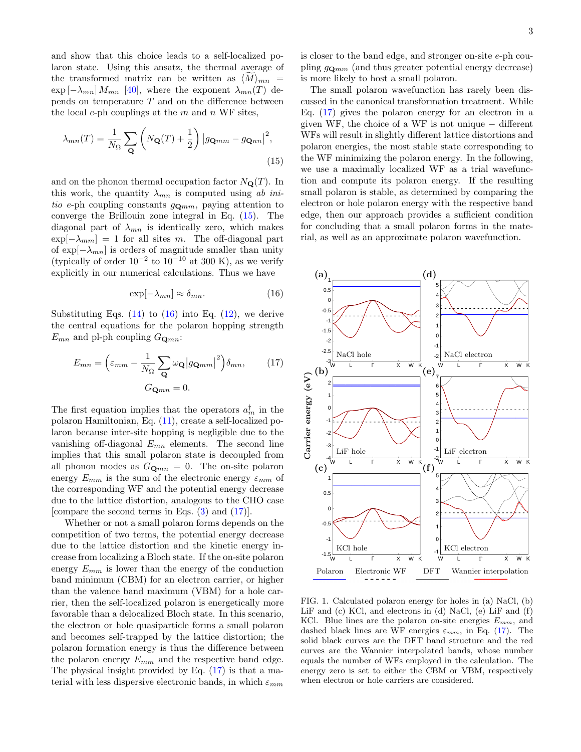and show that this choice leads to a self-localized polaron state. Using this ansatz, the thermal average of the transformed matrix can be written as  $\langle M \rangle_{mn}$  =  $\exp \left[-\lambda_{mn}\right] M_{mn}$  [\[40\]](#page-5-5), where the exponent  $\lambda_{mn}(T)$  depends on temperature  $T$  and on the difference between the local e-ph couplings at the  $m$  and  $n$  WF sites,

$$
\lambda_{mn}(T) = \frac{1}{N_{\Omega}} \sum_{\mathbf{Q}} \left( N_{\mathbf{Q}}(T) + \frac{1}{2} \right) \left| g_{\mathbf{Q}mm} - g_{\mathbf{Q}nn} \right|^2,
$$
\n(15)

and on the phonon thermal occupation factor  $N_{\mathbf{Q}}(T)$ . In this work, the quantity  $\lambda_{mn}$  is computed using ab initio e-ph coupling constants  $g_{\mathbf{Q}mm}$ , paying attention to converge the Brillouin zone integral in Eq. [\(15\)](#page-2-0). The diagonal part of  $\lambda_{mn}$  is identically zero, which makes  $\exp[-\lambda_{mm}] = 1$  for all sites m. The off-diagonal part of  $\exp[-\lambda_{mn}]$  is orders of magnitude smaller than unity (typically of order  $10^{-2}$  to  $10^{-10}$  at 300 K), as we verify explicitly in our numerical calculations. Thus we have

$$
\exp[-\lambda_{mn}] \approx \delta_{mn}.\tag{16}
$$

Substituting Eqs.  $(14)$  to  $(16)$  into Eq.  $(12)$ , we derive the central equations for the polaron hopping strength  $E_{mn}$  and pl-ph coupling  $G_{\mathbf{Q}mn}$ :

$$
E_{mn} = \left(\varepsilon_{mm} - \frac{1}{N_{\Omega}} \sum_{\mathbf{Q}} \omega_{\mathbf{Q}} |g_{\mathbf{Q}mm}|^2 \right) \delta_{mn},\qquad(17)
$$

$$
G_{\mathbf{Q}mn} = 0.
$$

The first equation implies that the operators  $a_m^{\dagger}$  in the polaron Hamiltonian, Eq. [\(11\)](#page-1-5), create a self-localized polaron because inter-site hopping is negligible due to the vanishing off-diagonal  $E_{mn}$  elements. The second line implies that this small polaron state is decoupled from all phonon modes as  $G_{\mathbf{Q}mn} = 0$ . The on-site polaron energy  $E_{mm}$  is the sum of the electronic energy  $\varepsilon_{mm}$  of the corresponding WF and the potential energy decrease due to the lattice distortion, analogous to the CHO case [compare the second terms in Eqs. [\(3\)](#page-1-1) and [\(17\)](#page-2-2)].

Whether or not a small polaron forms depends on the competition of two terms, the potential energy decrease due to the lattice distortion and the kinetic energy increase from localizing a Bloch state. If the on-site polaron energy  $E_{mm}$  is lower than the energy of the conduction band minimum (CBM) for an electron carrier, or higher than the valence band maximum (VBM) for a hole carrier, then the self-localized polaron is energetically more favorable than a delocalized Bloch state. In this scenario, the electron or hole quasiparticle forms a small polaron and becomes self-trapped by the lattice distortion; the polaron formation energy is thus the difference between the polaron energy  $E_{mm}$  and the respective band edge. The physical insight provided by Eq. [\(17\)](#page-2-2) is that a material with less dispersive electronic bands, in which  $\varepsilon_{mm}$ 

is closer to the band edge, and stronger on-site e-ph coupling  $g_{\mathbf{Q}mm}$  (and thus greater potential energy decrease) is more likely to host a small polaron.

<span id="page-2-0"></span>The small polaron wavefunction has rarely been discussed in the canonical transformation treatment. While Eq. [\(17\)](#page-2-2) gives the polaron energy for an electron in a given WF, the choice of a WF is not unique  $-$  different WFs will result in slightly different lattice distortions and polaron energies, the most stable state corresponding to the WF minimizing the polaron energy. In the following, we use a maximally localized WF as a trial wavefunction and compute its polaron energy. If the resulting small polaron is stable, as determined by comparing the electron or hole polaron energy with the respective band edge, then our approach provides a sufficient condition for concluding that a small polaron forms in the material, as well as an approximate polaron wavefunction.

<span id="page-2-2"></span><span id="page-2-1"></span>

<span id="page-2-3"></span>1 FIG. 1. Calculated polaron energy for holes in (a) NaCl, (b) LiF and (c) KCl, and electrons in (d) NaCl, (e) LiF and (f) KCl. Blue lines are the polaron on-site energies  $E_{mm}$ , and dashed black lines are WF energies  $\varepsilon_{mm}$ , in Eq. [\(17\)](#page-2-2). The solid black curves are the DFT band structure and the red curves are the Wannier interpolated bands, whose number equals the number of WFs employed in the calculation. The energy zero is set to either the CBM or VBM, respectively when electron or hole carriers are considered.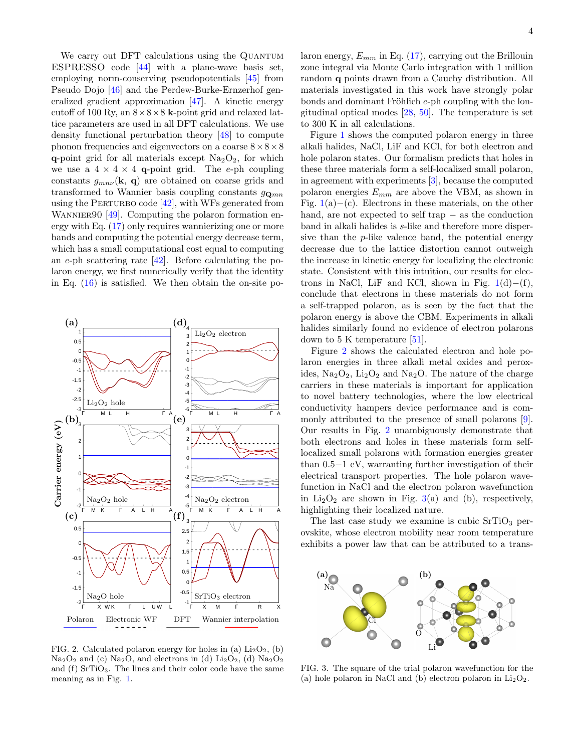We carry out DFT calculations using the QUANTUM ESPRESSO code [\[44\]](#page-5-9) with a plane-wave basis set, employing norm-conserving pseudopotentials [\[45\]](#page-5-10) from Pseudo Dojo [\[46\]](#page-5-11) and the Perdew-Burke-Ernzerhof generalized gradient approximation [\[47\]](#page-5-12). A kinetic energy cutoff of 100 Ry, an  $8 \times 8 \times 8$  k-point grid and relaxed lattice parameters are used in all DFT calculations. We use density functional perturbation theory [\[48\]](#page-5-13) to compute phonon frequencies and eigenvectors on a coarse  $8 \times 8 \times 8$ q-point grid for all materials except  $Na<sub>2</sub>O<sub>2</sub>$ , for which we use a  $4 \times 4 \times 4$  q-point grid. The e-ph coupling constants  $g_{mn\nu}(\mathbf{k}, \mathbf{q})$  are obtained on coarse grids and transformed to Wannier basis coupling constants  $g_{\mathbf{Q}_{mn}}$ using the PERTURBO code  $[42]$ , with WFs generated from WANNIER $90$  [\[49\]](#page-5-14). Computing the polaron formation energy with Eq. [\(17\)](#page-2-2) only requires wannierizing one or more bands and computing the potential energy decrease term, which has a small computational cost equal to computing an e-ph scattering rate [\[42\]](#page-5-7). Before calculating the polaron energy, we first numerically verify that the identity in Eq.  $(16)$  is satisfied. We then obtain the on-site po-



<span id="page-3-0"></span>FIG. 2. Calculated polaron energy for holes in (a)  $Li<sub>2</sub>O<sub>2</sub>$ , (b)  $Na<sub>2</sub>O<sub>2</sub>$  and (c)  $Na<sub>2</sub>O<sub>2</sub>$ , and electrons in (d)  $Li<sub>2</sub>O<sub>2</sub>$ , (d)  $Na<sub>2</sub>O<sub>2</sub>$ and  $(f)$  SrTiO<sub>3</sub>. The lines and their color code have the same meaning as in Fig. [1.](#page-2-3)

laron energy,  $E_{mm}$  in Eq. [\(17\)](#page-2-2), carrying out the Brillouin zone integral via Monte Carlo integration with 1 million random q points drawn from a Cauchy distribution. All materials investigated in this work have strongly polar bonds and dominant Fröhlich  $e$ -ph coupling with the longitudinal optical modes [\[28,](#page-4-23) [50\]](#page-5-15). The temperature is set to 300 K in all calculations.

Figure [1](#page-2-3) shows the computed polaron energy in three alkali halides, NaCl, LiF and KCl, for both electron and hole polaron states. Our formalism predicts that holes in these three materials form a self-localized small polaron, in agreement with experiments [\[3\]](#page-4-24), because the computed polaron energies  $E_{mm}$  are above the VBM, as shown in Fig.  $1(a)$  $1(a)$ −(c). Electrons in these materials, on the other hand, are not expected to self trap − as the conduction band in alkali halides is s-like and therefore more dispersive than the p-like valence band, the potential energy decrease due to the lattice distortion cannot outweigh the increase in kinetic energy for localizing the electronic state. Consistent with this intuition, our results for electrons in NaCl, LiF and KCl, shown in Fig.  $1(d)–(f)$  $1(d)–(f)$ , conclude that electrons in these materials do not form a self-trapped polaron, as is seen by the fact that the polaron energy is above the CBM. Experiments in alkali halides similarly found no evidence of electron polarons down to 5 K temperature [\[51\]](#page-5-16).

Figure [2](#page-3-0) shows the calculated electron and hole polaron energies in three alkali metal oxides and peroxides,  $\text{Na}_2\text{O}_2$ ,  $\text{Li}_2\text{O}_2$  and  $\text{Na}_2\text{O}$ . The nature of the charge carriers in these materials is important for application to novel battery technologies, where the low electrical conductivity hampers device performance and is commonly attributed to the presence of small polarons [\[9\]](#page-4-6). Our results in Fig. [2](#page-3-0) unambiguously demonstrate that both electrons and holes in these materials form selflocalized small polarons with formation energies greater than 0.5−1 eV, warranting further investigation of their electrical transport properties. The hole polaron wavefunction in NaCl and the electron polaron wavefunction in  $Li_2O_2$  are shown in Fig. [3\(](#page-3-1)a) and (b), respectively, highlighting their localized nature.

The last case study we examine is cubic  $SrTiO<sub>3</sub>$  perovskite, whose electron mobility near room temperature exhibits a power law that can be attributed to a trans-



<span id="page-3-1"></span>(a) hole polaron in NaCl and (b) electron polaron in  $Li<sub>2</sub>O<sub>2</sub>$ . FIG. 3. The square of the trial polaron wavefunction for the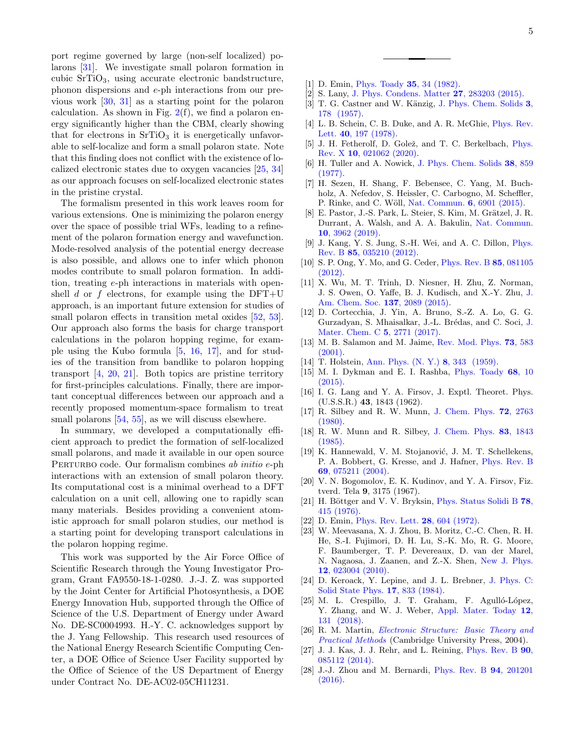port regime governed by large (non-self localized) polarons [\[31\]](#page-5-17). We investigate small polaron formation in cubic SrTiO3, using accurate electronic bandstructure, phonon dispersions and e-ph interactions from our previous work [\[30,](#page-5-18) [31\]](#page-5-17) as a starting point for the polaron calculation. As shown in Fig.  $2(f)$  $2(f)$ , we find a polaron energy significantly higher than the CBM, clearly showing that for electrons in  $SrTiO<sub>3</sub>$  it is energetically unfavorable to self-localize and form a small polaron state. Note that this finding does not conflict with the existence of localized electronic states due to oxygen vacancies [\[25,](#page-4-20) [34\]](#page-5-1) as our approach focuses on self-localized electronic states in the pristine crystal.

The formalism presented in this work leaves room for various extensions. One is minimizing the polaron energy over the space of possible trial WFs, leading to a refinement of the polaron formation energy and wavefunction. Mode-resolved analysis of the potential energy decrease is also possible, and allows one to infer which phonon modes contribute to small polaron formation. In addition, treating e-ph interactions in materials with openshell d or  $f$  electrons, for example using the DFT+U approach, is an important future extension for studies of small polaron effects in transition metal oxides [\[52,](#page-5-19) [53\]](#page-5-20). Our approach also forms the basis for charge transport calculations in the polaron hopping regime, for example using the Kubo formula [\[5,](#page-4-2) [16,](#page-4-10) [17\]](#page-4-11), and for studies of the transition from bandlike to polaron hopping transport  $[4, 20, 21]$  $[4, 20, 21]$  $[4, 20, 21]$  $[4, 20, 21]$  $[4, 20, 21]$ . Both topics are pristine territory for first-principles calculations. Finally, there are important conceptual differences between our approach and a recently proposed momentum-space formalism to treat small polarons  $[54, 55]$  $[54, 55]$  $[54, 55]$ , as we will discuss elsewhere.

In summary, we developed a computationally efficient approach to predict the formation of self-localized small polarons, and made it available in our open source PERTURBO code. Our formalism combines ab initio e-ph interactions with an extension of small polaron theory. Its computational cost is a minimal overhead to a DFT calculation on a unit cell, allowing one to rapidly scan many materials. Besides providing a convenient atomistic approach for small polaron studies, our method is a starting point for developing transport calculations in the polaron hopping regime.

This work was supported by the Air Force Office of Scientific Research through the Young Investigator Program, Grant FA9550-18-1-0280. J.-J. Z. was supported by the Joint Center for Artificial Photosynthesis, a DOE Energy Innovation Hub, supported through the Office of Science of the U.S. Department of Energy under Award No. DE-SC0004993. H.-Y. C. acknowledges support by the J. Yang Fellowship. This research used resources of the National Energy Research Scientific Computing Center, a DOE Office of Science User Facility supported by the Office of Science of the US Department of Energy under Contract No. DE-AC02-05CH11231.

5

- <span id="page-4-0"></span>[1] D. Emin, [Phys. Toady](https://doi.org/https://doi.org/10.1063/1.2938044) 35, 34 (1982).
- <span id="page-4-1"></span>[2] S. Lany, [J. Phys. Condens. Matter](https://doi.org/10.1088/0953-8984/27/28/283203) 27, 283203 (2015).
- <span id="page-4-24"></span>[3] T. G. Castner and W. Känzig, [J. Phys. Chem. Solids](https://doi.org/https://doi.org/10.1016/0022-3697(57)90023-9) 3, [178 \(1957\).](https://doi.org/https://doi.org/10.1016/0022-3697(57)90023-9)
- <span id="page-4-14"></span>[4] L. B. Schein, C. B. Duke, and A. R. McGhie, [Phys. Rev.](https://doi.org/10.1103/PhysRevLett.40.197) Lett. 40[, 197 \(1978\).](https://doi.org/10.1103/PhysRevLett.40.197)
- <span id="page-4-2"></span>[5] J. H. Fetherolf, D. Golež, and T. C. Berkelbach, [Phys.](https://doi.org/10.1103/PhysRevX.10.021062) Rev. X 10[, 021062 \(2020\).](https://doi.org/10.1103/PhysRevX.10.021062)
- <span id="page-4-3"></span>[6] H. Tuller and A. Nowick, [J. Phys. Chem. Solids](https://doi.org/https://doi.org/10.1016/0022-3697(77)90124-X) 38, 859 [\(1977\).](https://doi.org/https://doi.org/10.1016/0022-3697(77)90124-X)
- <span id="page-4-4"></span>[7] H. Sezen, H. Shang, F. Bebensee, C. Yang, M. Buchholz, A. Nefedov, S. Heissler, C. Carbogno, M. Scheffler, P. Rinke, and C. Wöll, [Nat. Commun.](https://doi.org/10.1038/ncomms7901) 6, 6901 (2015).
- <span id="page-4-5"></span>[8] E. Pastor, J.-S. Park, L. Steier, S. Kim, M. Grätzel, J. R. Durrant, A. Walsh, and A. A. Bakulin, [Nat. Commun.](https://doi.org/10.1038/s41467-019-11767-9) 10[, 3962 \(2019\).](https://doi.org/10.1038/s41467-019-11767-9)
- <span id="page-4-6"></span>[9] J. Kang, Y. S. Jung, S.-H. Wei, and A. C. Dillon, [Phys.](https://doi.org/10.1103/PhysRevB.85.035210) Rev. B 85[, 035210 \(2012\).](https://doi.org/10.1103/PhysRevB.85.035210)
- [10] S. P. Ong, Y. Mo, and G. Ceder, [Phys. Rev. B](https://doi.org/10.1103/PhysRevB.85.081105) 85, 081105 [\(2012\).](https://doi.org/10.1103/PhysRevB.85.081105)
- [11] X. Wu, M. T. Trinh, D. Niesner, H. Zhu, Z. Norman, J. S. Owen, O. Yaffe, B. J. Kudisch, and X.-Y. Zhu, [J.](https://doi.org/10.1021/ja512833n) [Am. Chem. Soc.](https://doi.org/10.1021/ja512833n) 137, 2089 (2015).
- [12] D. Cortecchia, J. Yin, A. Bruno, S.-Z. A. Lo, G. G. Gurzadyan, S. Mhaisalkar, [J.](https://doi.org/10.1039/C7TC00366H)-L. Brédas, and C. Soci, J. [Mater. Chem. C](https://doi.org/10.1039/C7TC00366H) 5, 2771 (2017).
- <span id="page-4-7"></span>[13] M. B. Salamon and M. Jaime, [Rev. Mod. Phys.](https://doi.org/10.1103/RevModPhys.73.583) 73, 583  $(2001)$ .
- <span id="page-4-8"></span>[14] T. Holstein, [Ann. Phys. \(N. Y.\)](https://doi.org/https://doi.org/10.1016/0003-4916(59)90003-X) 8, 343 (1959).
- <span id="page-4-9"></span>[15] M. I. Dykman and E. I. Rashba, [Phys. Toady](https://doi.org/https://doi.org/10.1063/PT.3.2735) 68, 10  $(2015).$
- <span id="page-4-10"></span>[16] I. G. Lang and Y. A. Firsov, J. Exptl. Theoret. Phys. (U.S.S.R.) 43, 1843 (1962).
- <span id="page-4-11"></span>[17] R. Silbey and R. W. Munn, [J. Chem. Phys.](https://doi.org/10.1063/1.439425) 72, 2763 [\(1980\).](https://doi.org/10.1063/1.439425)
- <span id="page-4-12"></span>[18] R. W. Munn and R. Silbey, [J. Chem. Phys.](https://doi.org/10.1063/1.449372) 83, 1843 [\(1985\).](https://doi.org/10.1063/1.449372)
- <span id="page-4-13"></span>[19] K. Hannewald, V. M. Stojanović, J. M. T. Schellekens, P. A. Bobbert, G. Kresse, and J. Hafner, [Phys. Rev. B](https://doi.org/10.1103/PhysRevB.69.075211) 69[, 075211 \(2004\).](https://doi.org/10.1103/PhysRevB.69.075211)
- <span id="page-4-15"></span>[20] V. N. Bogomolov, E. K. Kudinov, and Y. A. Firsov, Fiz. tverd. Tela 9, 3175 (1967).
- <span id="page-4-16"></span>[21] H. Böttger and V. V. Bryksin, [Phys. Status Solidi B](https://doi.org/10.1002/pssb.2220780202) 78, [415 \(1976\).](https://doi.org/10.1002/pssb.2220780202)
- <span id="page-4-17"></span>[22] D. Emin, [Phys. Rev. Lett.](https://doi.org/10.1103/PhysRevLett.28.604) 28, 604 (1972).
- <span id="page-4-18"></span>[23] W. Meevasana, X. J. Zhou, B. Moritz, C.-C. Chen, R. H. He, S.-I. Fujimori, D. H. Lu, S.-K. Mo, R. G. Moore, F. Baumberger, T. P. Devereaux, D. van der Marel, N. Nagaosa, J. Zaanen, and Z.-X. Shen, [New J. Phys.](https://doi.org/10.1088/1367-2630/12/2/023004) 12[, 023004 \(2010\).](https://doi.org/10.1088/1367-2630/12/2/023004)
- <span id="page-4-19"></span>[24] D. Keroack, Y. Lepine, and J. L. Brebner, [J. Phys. C:](https://doi.org/10.1088/0022-3719/17/5/013) [Solid State Phys.](https://doi.org/10.1088/0022-3719/17/5/013) 17, 833 (1984).
- <span id="page-4-20"></span>[25] M. L. Crespillo, J. T. Graham, F. Agulló-López, Y. Zhang, and W. J. Weber, [Appl. Mater. Today](https://doi.org/https://doi.org/10.1016/j.apmt.2018.04.006) 12, [131 \(2018\).](https://doi.org/https://doi.org/10.1016/j.apmt.2018.04.006)
- <span id="page-4-21"></span>[26] R. M. Martin, [Electronic Structure: Basic Theory and](https://doi.org/10.1017/CBO9780511805769) [Practical Methods](https://doi.org/10.1017/CBO9780511805769) (Cambridge University Press, 2004).
- <span id="page-4-22"></span>[27] J. J. Kas, J. J. Rehr, and L. Reining, [Phys. Rev. B](https://doi.org/10.1103/PhysRevB.90.085112) 90, [085112 \(2014\).](https://doi.org/10.1103/PhysRevB.90.085112)
- <span id="page-4-23"></span>[28] J.-J. Zhou and M. Bernardi, [Phys. Rev. B](https://doi.org/10.1103/PhysRevB.94.201201) 94, 201201 [\(2016\).](https://doi.org/10.1103/PhysRevB.94.201201)